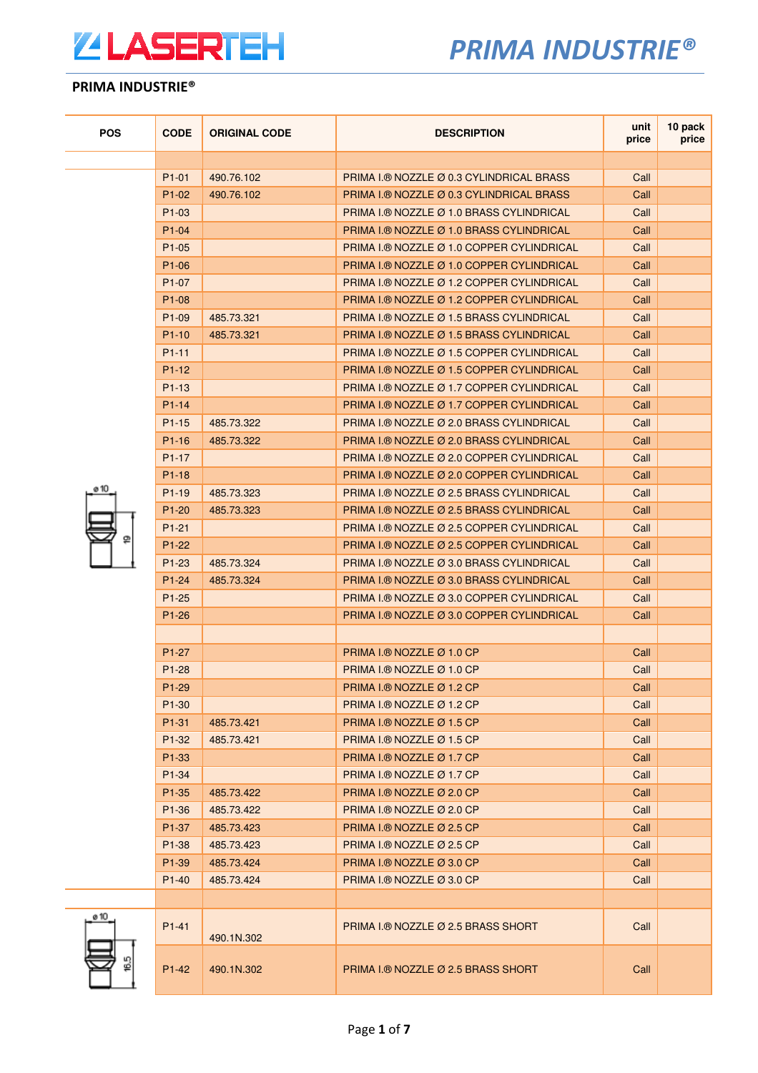

| <b>POS</b> | <b>CODE</b>        | <b>ORIGINAL CODE</b> | <b>DESCRIPTION</b>                        | unit<br>price | 10 pack<br>price |
|------------|--------------------|----------------------|-------------------------------------------|---------------|------------------|
|            |                    |                      |                                           |               |                  |
|            | $P1-01$            | 490.76.102           | PRIMA I.® NOZZLE Ø 0.3 CYLINDRICAL BRASS  | Call          |                  |
|            | $P1-02$            | 490.76.102           | PRIMA I.® NOZZLE Ø 0.3 CYLINDRICAL BRASS  | Call          |                  |
|            | P <sub>1</sub> -03 |                      | PRIMA I.® NOZZLE Ø 1.0 BRASS CYLINDRICAL  | Call          |                  |
|            | $P1 - 04$          |                      | PRIMA I.® NOZZLE Ø 1.0 BRASS CYLINDRICAL  | Call          |                  |
|            | $P1-05$            |                      | PRIMA I.® NOZZLE Ø 1.0 COPPER CYLINDRICAL | Call          |                  |
|            | $P1-06$            |                      | PRIMA I.® NOZZLE Ø 1.0 COPPER CYLINDRICAL | Call          |                  |
|            | P <sub>1</sub> -07 |                      | PRIMA I.® NOZZLE Ø 1.2 COPPER CYLINDRICAL | Call          |                  |
|            | P <sub>1</sub> -08 |                      | PRIMA I.® NOZZLE Ø 1.2 COPPER CYLINDRICAL | Call          |                  |
|            | P <sub>1</sub> -09 | 485.73.321           | PRIMA I.® NOZZLE Ø 1.5 BRASS CYLINDRICAL  | Call          |                  |
|            | $P1-10$            | 485.73.321           | PRIMA I.® NOZZLE Ø 1.5 BRASS CYLINDRICAL  | Call          |                  |
|            | $P1-11$            |                      | PRIMA I.® NOZZLE Ø 1.5 COPPER CYLINDRICAL | Call          |                  |
|            | $P1-12$            |                      | PRIMA I.® NOZZLE Ø 1.5 COPPER CYLINDRICAL | Call          |                  |
|            | P <sub>1</sub> -13 |                      | PRIMA I.® NOZZLE Ø 1.7 COPPER CYLINDRICAL | Call          |                  |
|            | $P1 - 14$          |                      | PRIMA I.® NOZZLE Ø 1.7 COPPER CYLINDRICAL | Call          |                  |
|            | $P1-15$            | 485.73.322           | PRIMA I.® NOZZLE Ø 2.0 BRASS CYLINDRICAL  | Call          |                  |
|            | $P1-16$            | 485.73.322           | PRIMA L® NOZZLE Ø 2.0 BRASS CYLINDRICAL   | Call          |                  |
|            | $P1-17$            |                      | PRIMA I.® NOZZLE Ø 2.0 COPPER CYLINDRICAL | Call          |                  |
|            | $P1-18$            |                      | PRIMA I.® NOZZLE Ø 2.0 COPPER CYLINDRICAL | Call          |                  |
| ø 10       | $P1-19$            | 485.73.323           | PRIMA I.® NOZZLE Ø 2.5 BRASS CYLINDRICAL  | Call          |                  |
|            | $P1-20$            | 485.73.323           | PRIMA I.® NOZZLE Ø 2.5 BRASS CYLINDRICAL  | Call          |                  |
|            | $P1-21$            |                      | PRIMA I.® NOZZLE Ø 2.5 COPPER CYLINDRICAL | Call          |                  |
| ₽          | $P1-22$            |                      | PRIMA I.® NOZZLE Ø 2.5 COPPER CYLINDRICAL | Call          |                  |
|            | $P1-23$            | 485.73.324           | PRIMA I.® NOZZLE Ø 3.0 BRASS CYLINDRICAL  | Call          |                  |
|            | $P1 - 24$          | 485.73.324           | PRIMA I.® NOZZLE Ø 3.0 BRASS CYLINDRICAL  | Call          |                  |
|            | $P1-25$            |                      | PRIMA I.® NOZZLE Ø 3.0 COPPER CYLINDRICAL | Call          |                  |
|            | $P1-26$            |                      | PRIMA I.® NOZZLE Ø 3.0 COPPER CYLINDRICAL | Call          |                  |
|            |                    |                      |                                           |               |                  |
|            | P <sub>1</sub> -27 |                      | PRIMA I.® NOZZLE $\varnothing$ 1.0 CP     | Call          |                  |
|            | $P1-28$            |                      | PRIMA I.® NOZZLE Ø 1.0 CP                 | Call          |                  |
|            | P1-29              |                      | PRIMA I.® NOZZLE Ø 1.2 CP                 | Call          |                  |
|            | P <sub>1</sub> -30 |                      | PRIMA I.® NOZZLE Ø 1.2 CP                 | Call          |                  |
|            | P1-31              | 485.73.421           | PRIMA I.® NOZZLE Ø 1.5 CP                 | Call          |                  |
|            | P1-32              | 485.73.421           | PRIMA I.® NOZZLE Ø 1.5 CP                 | Call          |                  |
|            | P <sub>1</sub> -33 |                      | PRIMA I.® NOZZLE $\varnothing$ 1.7 CP     | Call          |                  |
|            | P1-34              |                      | PRIMA I.® NOZZLE $\varnothing$ 1.7 CP     | Call          |                  |
|            | P <sub>1</sub> -35 | 485.73.422           | PRIMA I.® NOZZLE Ø 2.0 CP                 | Call          |                  |
|            | P <sub>1</sub> -36 | 485.73.422           | PRIMA I.® NOZZLE Ø 2.0 CP                 | Call          |                  |
|            | P1-37              | 485.73.423           | PRIMA I.® NOZZLE $\varnothing$ 2.5 CP     | Call          |                  |
|            | P <sub>1</sub> -38 | 485.73.423           | PRIMA I.® NOZZLE $\varnothing$ 2.5 CP     | Call          |                  |
|            | P <sub>1</sub> -39 | 485.73.424           | PRIMA I.® NOZZLE Ø 3.0 CP                 | Call          |                  |
|            | $P1-40$            | 485.73.424           | PRIMA I.® NOZZLE Ø 3.0 CP                 | Call          |                  |
|            |                    |                      |                                           |               |                  |
| ø 10       |                    |                      |                                           |               |                  |
|            | $P1 - 41$          | 490.1N.302           | PRIMA I.® NOZZLE Ø 2.5 BRASS SHORT        | Call          |                  |
| 16.5       | P1-42              | 490.1N.302           | PRIMA I.® NOZZLE Ø 2.5 BRASS SHORT        | Call          |                  |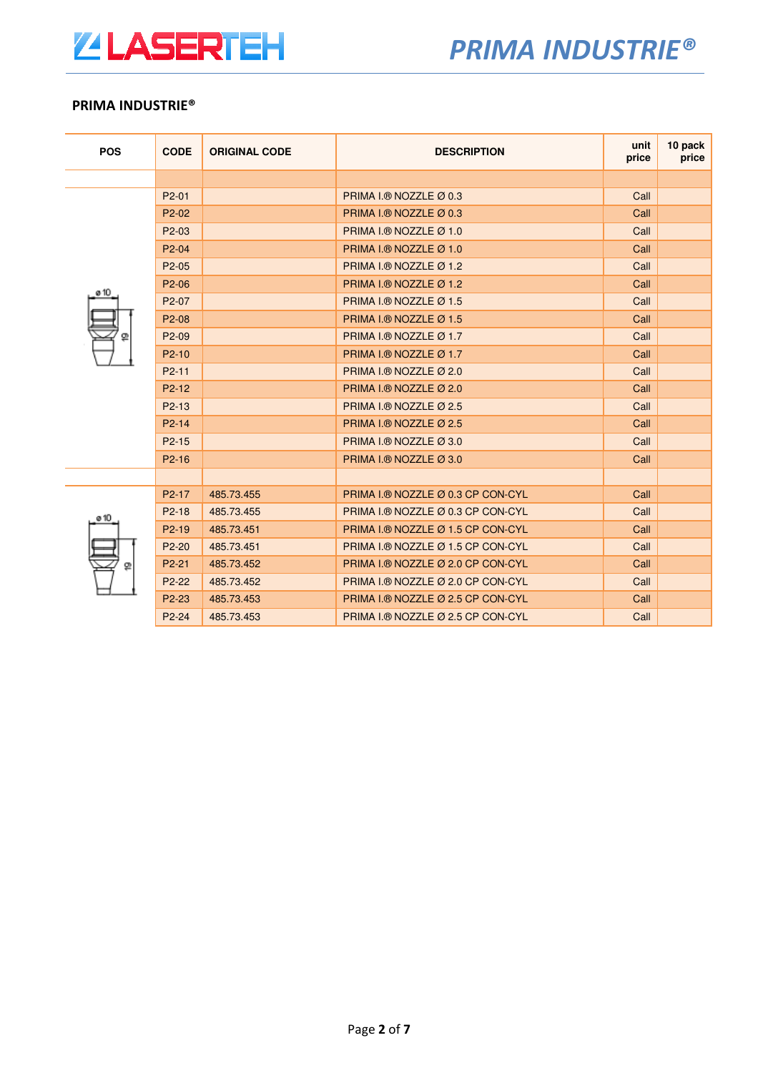

| <b>POS</b> | <b>CODE</b>                    | <b>ORIGINAL CODE</b> | <b>DESCRIPTION</b>                | unit<br>price | 10 pack<br>price |
|------------|--------------------------------|----------------------|-----------------------------------|---------------|------------------|
|            |                                |                      |                                   |               |                  |
|            | P <sub>2</sub> -01             |                      | PRIMA I.® NOZZLE Ø 0.3            | Call          |                  |
|            | P <sub>2</sub> -0 <sub>2</sub> |                      | PRIMA I.® NOZZLE Ø 0.3            | Call          |                  |
|            | P <sub>2</sub> -03             |                      | PRIMA I.® NOZZLE Ø 1.0            | Call          |                  |
|            | P <sub>2</sub> -04             |                      | PRIMA I.® NOZZLE Ø 1.0            | Call          |                  |
|            | P <sub>2</sub> -05             |                      | PRIMA I.® NOZZLE Ø 1.2            | Call          |                  |
| ø 10       | P <sub>2</sub> -06             |                      | PRIMA I.® NOZZLE Ø 1.2            | Call          |                  |
|            | P <sub>2</sub> -07             |                      | PRIMA I.® NOZZLE Ø 1.5            | Call          |                  |
|            | P2-08                          |                      | PRIMA I.® NOZZLE Ø 1.5            | Call          |                  |
| ⅏          | P <sub>2</sub> -09             |                      | PRIMA I.® NOZZLE Ø 1.7            | Call          |                  |
|            | $P2-10$                        |                      | PRIMA I.® NOZZLE Ø 1.7            | Call          |                  |
|            | P <sub>2</sub> -11             |                      | PRIMA I.® NOZZLE Ø 2.0            | Call          |                  |
|            | $P2-12$                        |                      | PRIMA I.® NOZZLE Ø 2.0            | Call          |                  |
|            | $P2-13$                        |                      | PRIMA I.® NOZZLE Ø 2.5            | Call          |                  |
|            | $P2 - 14$                      |                      | PRIMA I.® NOZZLE Ø 2.5            | Call          |                  |
|            | $P2 - 15$                      |                      | PRIMA I.® NOZZLE Ø 3.0            | Call          |                  |
|            | $P2-16$                        |                      | PRIMA I.® NOZZLE Ø 3.0            | Call          |                  |
|            |                                |                      |                                   |               |                  |
|            | P <sub>2</sub> -17             | 485.73.455           | PRIMA I.® NOZZLE Ø 0.3 CP CON-CYL | Call          |                  |
| ø 10<br>ⅇ  | $P2-18$                        | 485.73.455           | PRIMA I.® NOZZLE Ø 0.3 CP CON-CYL | Call          |                  |
|            | $P2-19$                        | 485.73.451           | PRIMA I.® NOZZLE Ø 1.5 CP CON-CYL | Call          |                  |
|            | $P2-20$                        | 485.73.451           | PRIMA I.® NOZZLE Ø 1.5 CP CON-CYL | Call          |                  |
|            | P <sub>2</sub> -21             | 485.73.452           | PRIMA I.® NOZZLE Ø 2.0 CP CON-CYL | Call          |                  |
|            | P2-22                          | 485.73.452           | PRIMA I.® NOZZLE Ø 2.0 CP CON-CYL | Call          |                  |
|            | P <sub>2</sub> -23             | 485.73.453           | PRIMA I.® NOZZLE Ø 2.5 CP CON-CYL | Call          |                  |
|            | P <sub>2</sub> -24             | 485.73.453           | PRIMA I.® NOZZLE Ø 2.5 CP CON-CYL | Call          |                  |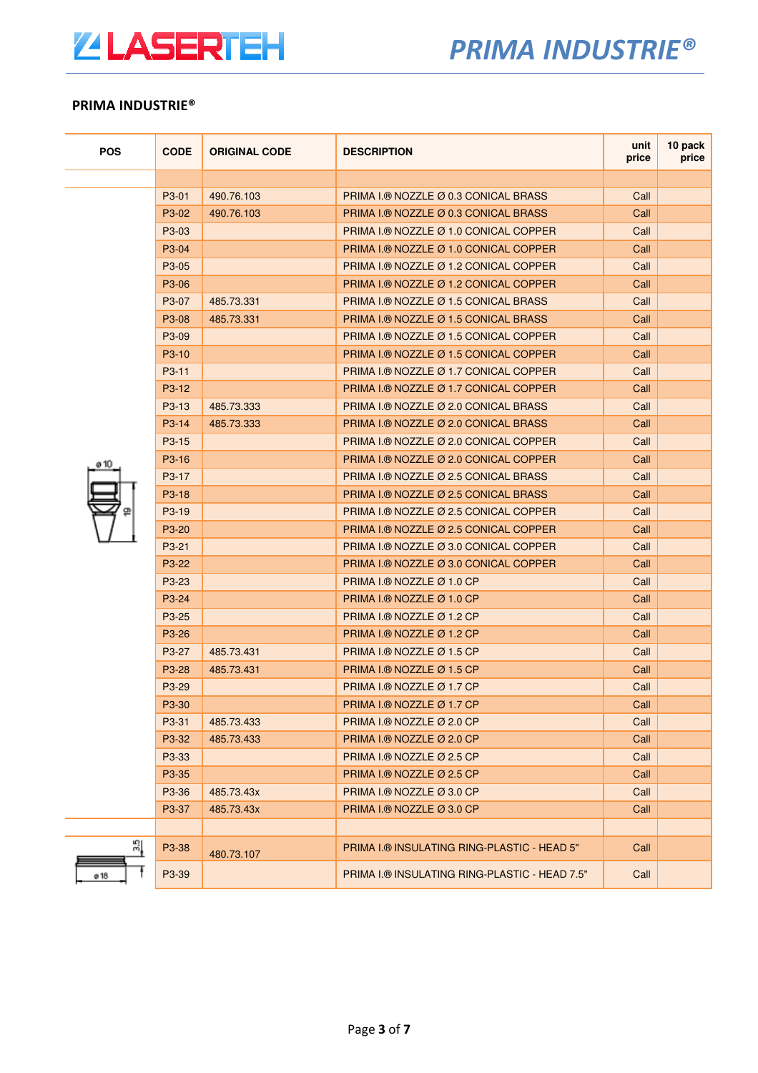

| <b>POS</b> | <b>CODE</b>                    | <b>ORIGINAL CODE</b> | <b>DESCRIPTION</b>                                | unit<br>price | 10 pack<br>price |
|------------|--------------------------------|----------------------|---------------------------------------------------|---------------|------------------|
|            |                                |                      |                                                   |               |                  |
|            | P <sub>3</sub> -01             | 490.76.103           | PRIMA I.® NOZZLE Ø 0.3 CONICAL BRASS              | Call          |                  |
|            | P3-02                          | 490.76.103           | PRIMA L® NOZZLE Ø 0.3 CONICAL BRASS               | Call          |                  |
|            | P <sub>3</sub> -0 <sub>3</sub> |                      | PRIMA I.® NOZZLE Ø 1.0 CONICAL COPPER             | Call          |                  |
|            | P <sub>3</sub> -04             |                      | PRIMA I.® NOZZLE Ø 1.0 CONICAL COPPER             | Call          |                  |
|            | P <sub>3</sub> -05             |                      | PRIMA I.® NOZZLE Ø 1.2 CONICAL COPPER             | Call          |                  |
|            | P <sub>3</sub> -06             |                      | PRIMA I.® NOZZLE Ø 1.2 CONICAL COPPER             | Call          |                  |
|            | P <sub>3</sub> -07             | 485.73.331           | PRIMA I.® NOZZLE Ø 1.5 CONICAL BRASS              | Call          |                  |
|            | P <sub>3</sub> -08             | 485.73.331           | PRIMA I.® NOZZLE Ø 1.5 CONICAL BRASS              | Call          |                  |
|            | P <sub>3</sub> -09             |                      | PRIMA I.® NOZZLE Ø 1.5 CONICAL COPPER             | Call          |                  |
|            | P <sub>3</sub> -10             |                      | PRIMA I.® NOZZLE Ø 1.5 CONICAL COPPER             | Call          |                  |
|            | $P3-11$                        |                      | PRIMA I.® NOZZLE Ø 1.7 CONICAL COPPER             | Call          |                  |
|            | P <sub>3</sub> -12             |                      | PRIMA I.® NOZZLE Ø 1.7 CONICAL COPPER             | Call          |                  |
|            | P <sub>3</sub> -13             | 485.73.333           | PRIMA I.® NOZZLE Ø 2.0 CONICAL BRASS              | Call          |                  |
|            | P <sub>3</sub> -14             | 485.73.333           | PRIMA I.® NOZZLE Ø 2.0 CONICAL BRASS              | Call          |                  |
|            | P <sub>3</sub> -15             |                      | PRIMA I.® NOZZLE Ø 2.0 CONICAL COPPER             | Call          |                  |
|            | P <sub>3</sub> -16             |                      | PRIMA I.® NOZZLE Ø 2.0 CONICAL COPPER             | Call          |                  |
|            | P <sub>3</sub> -17             |                      | PRIMA I.® NOZZLE Ø 2.5 CONICAL BRASS              | Call          |                  |
|            | P <sub>3</sub> -18             |                      | PRIMA I.® NOZZLE Ø 2.5 CONICAL BRASS              | Call          |                  |
| 罒          | P <sub>3</sub> -19             |                      | PRIMA I.® NOZZLE Ø 2.5 CONICAL COPPER             | Call          |                  |
|            | P <sub>3</sub> -20             |                      | PRIMA I.® NOZZLE Ø 2.5 CONICAL COPPER             | Call          |                  |
|            | P <sub>3</sub> -21             |                      | PRIMA I.® NOZZLE Ø 3.0 CONICAL COPPER             | Call          |                  |
|            | P <sub>3</sub> -22             |                      | PRIMA I.® NOZZLE Ø 3.0 CONICAL COPPER             | Call          |                  |
|            | P <sub>3</sub> -2 <sub>3</sub> |                      | PRIMA I.® NOZZLE $\varnothing$ 1.0 CP             | Call          |                  |
|            | P <sub>3</sub> -24             |                      | PRIMA I.® NOZZLE Ø 1.0 CP                         | Call          |                  |
|            | P <sub>3</sub> -25             |                      | PRIMA I.® NOZZLE $\varnothing$ 1.2 CP             | Call          |                  |
|            | P <sub>3</sub> -26             |                      | PRIMA I.® NOZZLE $\varnothing$ 1.2 CP             | Call          |                  |
|            | P <sub>3</sub> -27             | 485.73.431           | PRIMA I.® NOZZLE Ø 1.5 CP                         | Call          |                  |
|            | P <sub>3</sub> -28             | 485.73.431           | PRIMA I.® NOZZLE Ø 1.5 CP                         | Call          |                  |
|            | P <sub>3</sub> -29             |                      | PRIMA I.® NOZZLE $\varnothing$ 1.7 CP             | Call          |                  |
|            | P3-30                          |                      | PRIMA I.® NOZZLE Ø 1.7 CP                         | Call          |                  |
|            | P3-31                          | 485.73.433           | PRIMA I.® NOZZLE Ø 2.0 CP                         | Call          |                  |
|            | P3-32                          | 485.73.433           | PRIMA I.® NOZZLE Ø 2.0 CP                         | Call          |                  |
|            | P3-33                          |                      | PRIMA I. <sup>®</sup> NOZZLE $\varnothing$ 2.5 CP | Call          |                  |
|            | P <sub>3</sub> -35             |                      | PRIMA I.® NOZZLE $\varnothing$ 2.5 CP             | Call          |                  |
|            | P <sub>3</sub> -36             | 485.73.43x           | PRIMA I.® NOZZLE Ø 3.0 CP                         | Call          |                  |
|            | P3-37                          | 485.73.43x           | PRIMA I.® NOZZLE Ø 3.0 CP                         | Call          |                  |
|            |                                |                      |                                                   |               |                  |
| 21         | P3-38                          | 480.73.107           | PRIMA I.® INSULATING RING-PLASTIC - HEAD 5"       | Call          |                  |
| ø 18       | P <sub>3</sub> -39             |                      | PRIMA I.® INSULATING RING-PLASTIC - HEAD 7.5"     | Call          |                  |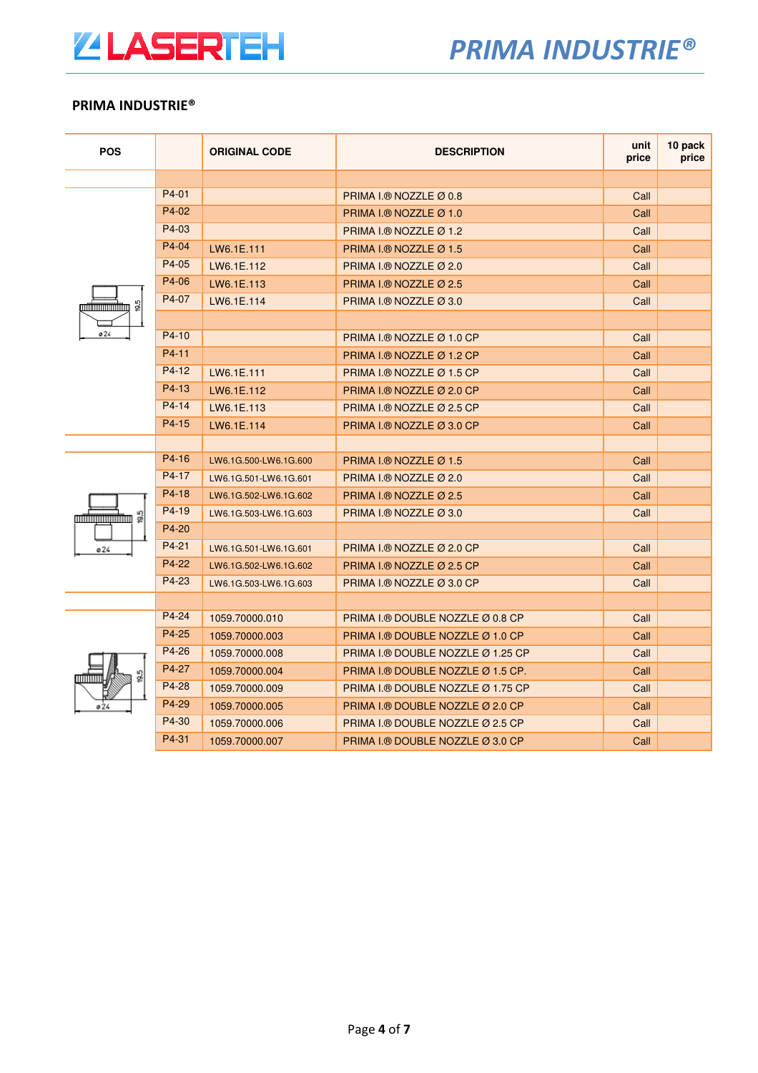

| <b>POS</b>                           |         | <b>ORIGINAL CODE</b>  | <b>DESCRIPTION</b>                    | unit<br>price | 10 pack<br>price |
|--------------------------------------|---------|-----------------------|---------------------------------------|---------------|------------------|
|                                      |         |                       |                                       |               |                  |
|                                      | P4-01   |                       | PRIMA I.® NOZZLE Ø 0.8                | Call          |                  |
|                                      | P4-02   |                       | PRIMA I.® NOZZLE Ø 1.0                | Call          |                  |
|                                      | P4-03   |                       | PRIMA I.® NOZZLE $\varnothing$ 1.2    | Call          |                  |
|                                      | P4-04   | LW6.1E.111            | PRIMA I.® NOZZLE $\varnothing$ 1.5    | Call          |                  |
|                                      | P4-05   | LW6.1E.112            | PRIMA I.® NOZZLE Ø 2.0                | Call          |                  |
|                                      | P4-06   | LW6.1E.113            | PRIMA I.® NOZZLE Ø 2.5                | Call          |                  |
| 95<br><b>MANUTE AND THE PROPERTY</b> | P4-07   | LW6.1E.114            | PRIMA I.® NOZZLE $\varnothing$ 3.0    | Call          |                  |
|                                      |         |                       |                                       |               |                  |
| ø24                                  | $P4-10$ |                       | PRIMA I.® NOZZLE Ø 1.0 CP             | Call          |                  |
|                                      | $P4-11$ |                       | PRIMA I.® NOZZLE $\varnothing$ 1.2 CP | Call          |                  |
|                                      | P4-12   | LW6.1E.111            | PRIMA I.® NOZZLE Ø 1.5 CP             | Call          |                  |
|                                      | P4-13   | LW6.1E.112            | PRIMA I.® NOZZLE Ø 2.0 CP             | Call          |                  |
|                                      | $P4-14$ | LW6.1E.113            | PRIMA I.® NOZZLE $\varnothing$ 2.5 CP | Call          |                  |
|                                      | $P4-15$ | LW6.1E.114            | PRIMA I.® NOZZLE Ø 3.0 CP             | Call          |                  |
|                                      |         |                       |                                       |               |                  |
|                                      | P4-16   | LW6.1G.500-LW6.1G.600 | PRIMA I.® NOZZLE $\varnothing$ 1.5    | Call          |                  |
|                                      | P4-17   | LW6.1G.501-LW6.1G.601 | PRIMA I.® NOZZLE Ø 2.0                | Call          |                  |
|                                      | $P4-18$ | LW6.1G.502-LW6.1G.602 | PRIMA I.® NOZZLE Ø 2.5                | Call          |                  |
| 읡<br><b>MARKET STATE</b>             | P4-19   | LW6.1G.503-LW6.1G.603 | PRIMA I.® NOZZLE Ø 3.0                | Call          |                  |
|                                      | P4-20   |                       |                                       |               |                  |
| ø24                                  | P4-21   | LW6.1G.501-LW6.1G.601 | PRIMA I.® NOZZLE Ø 2.0 CP             | Call          |                  |
|                                      | P4-22   | LW6.1G.502-LW6.1G.602 | PRIMA I.® NOZZLE $\varnothing$ 2.5 CP | Call          |                  |
|                                      | P4-23   | LW6.1G.503-LW6.1G.603 | PRIMA I.® NOZZLE Ø 3.0 CP             | Call          |                  |
|                                      |         |                       |                                       |               |                  |
|                                      | P4-24   | 1059.70000.010        | PRIMA I.® DOUBLE NOZZLE Ø 0.8 CP      | Call          |                  |
| 9.5<br>णाणाा<br>ø24                  | P4-25   | 1059.70000.003        | PRIMA I.® DOUBLE NOZZLE Ø 1.0 CP      | Call          |                  |
|                                      | P4-26   | 1059.70000.008        | PRIMA I.® DOUBLE NOZZLE Ø 1.25 CP     | Call          |                  |
|                                      | P4-27   | 1059.70000.004        | PRIMA I.® DOUBLE NOZZLE Ø 1.5 CP.     | Call          |                  |
|                                      | P4-28   | 1059.70000.009        | PRIMA I.® DOUBLE NOZZLE Ø 1.75 CP     | Call          |                  |
|                                      | P4-29   | 1059.70000.005        | PRIMA I.® DOUBLE NOZZLE Ø 2.0 CP      | Call          |                  |
|                                      | P4-30   | 1059.70000.006        | PRIMA I.® DOUBLE NOZZLE Ø 2.5 CP      | Call          |                  |
|                                      | P4-31   | 1059.70000.007        | PRIMA I.® DOUBLE NOZZLE Ø 3.0 CP      | Call          |                  |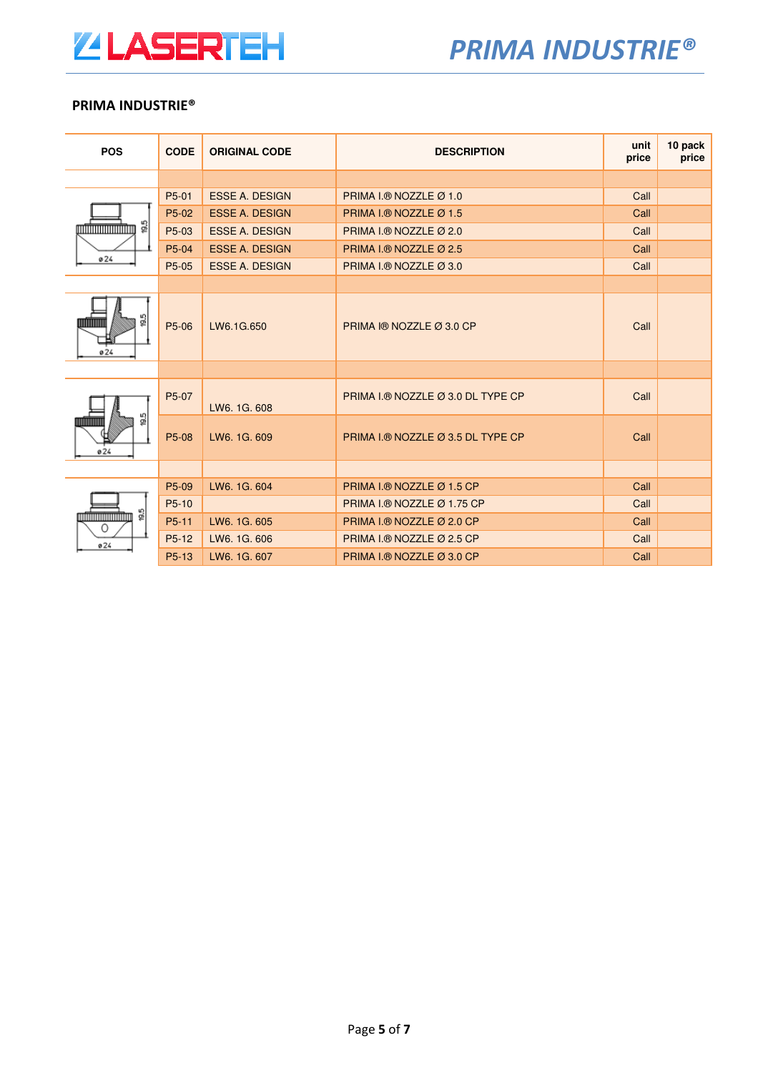

| <b>POS</b>                                                                     | <b>CODE</b>        | <b>ORIGINAL CODE</b>  | <b>DESCRIPTION</b>                | unit<br>price | 10 pack<br>price |
|--------------------------------------------------------------------------------|--------------------|-----------------------|-----------------------------------|---------------|------------------|
|                                                                                |                    |                       |                                   |               |                  |
|                                                                                | P5-01              | <b>ESSE A. DESIGN</b> | PRIMA I.® NOZZLE Ø 1.0            | Call          |                  |
|                                                                                | P5-02              | <b>ESSE A. DESIGN</b> | PRIMA I.® NOZZLE Ø 1.5            | Call          |                  |
| $\frac{5}{20}$<br><b>Antonio Antonio Antonio Antonio Antonio Antonio Anti-</b> | P5-03              | <b>ESSE A. DESIGN</b> | PRIMA I.® NOZZLE Ø 2.0            | Call          |                  |
|                                                                                | P5-04              | <b>ESSE A. DESIGN</b> | PRIMA I.® NOZZLE Ø 2.5            | Call          |                  |
| 024                                                                            | P5-05              | <b>ESSE A. DESIGN</b> | PRIMA I.® NOZZLE Ø 3.0            | Call          |                  |
|                                                                                |                    |                       |                                   |               |                  |
| 19.5<br>''''''''<br>0.24                                                       | P5-06              | LW6.1G.650            | PRIMA I® NOZZLE Ø 3.0 CP          | Call          |                  |
|                                                                                |                    |                       |                                   |               |                  |
| 19.5<br>0.24                                                                   | P5-07              | LW6, 1G, 608          | PRIMA I.® NOZZLE Ø 3.0 DL TYPE CP | Call          |                  |
|                                                                                | P5-08              | LW6, 1G, 609          | PRIMA I.® NOZZLE Ø 3.5 DL TYPE CP | Call          |                  |
|                                                                                |                    |                       |                                   |               |                  |
|                                                                                | P5-09              | LW6. 1G. 604          | PRIMA I.® NOZZLE Ø 1.5 CP         | Call          |                  |
| 19.5<br><u>minimum minim</u><br>0                                              | P5-10              |                       | PRIMA I.® NOZZLE Ø 1.75 CP        | Call          |                  |
|                                                                                | P <sub>5</sub> -11 | LW6. 1G. 605          | PRIMA I.® NOZZLE Ø 2.0 CP         | Call          |                  |
| 024                                                                            | P5-12              | LW6. 1G. 606          | PRIMA I.® NOZZLE Ø 2.5 CP         | Call          |                  |
|                                                                                | P5-13              | LW6, 1G, 607          | PRIMA I.® NOZZLE Ø 3.0 CP         | Call          |                  |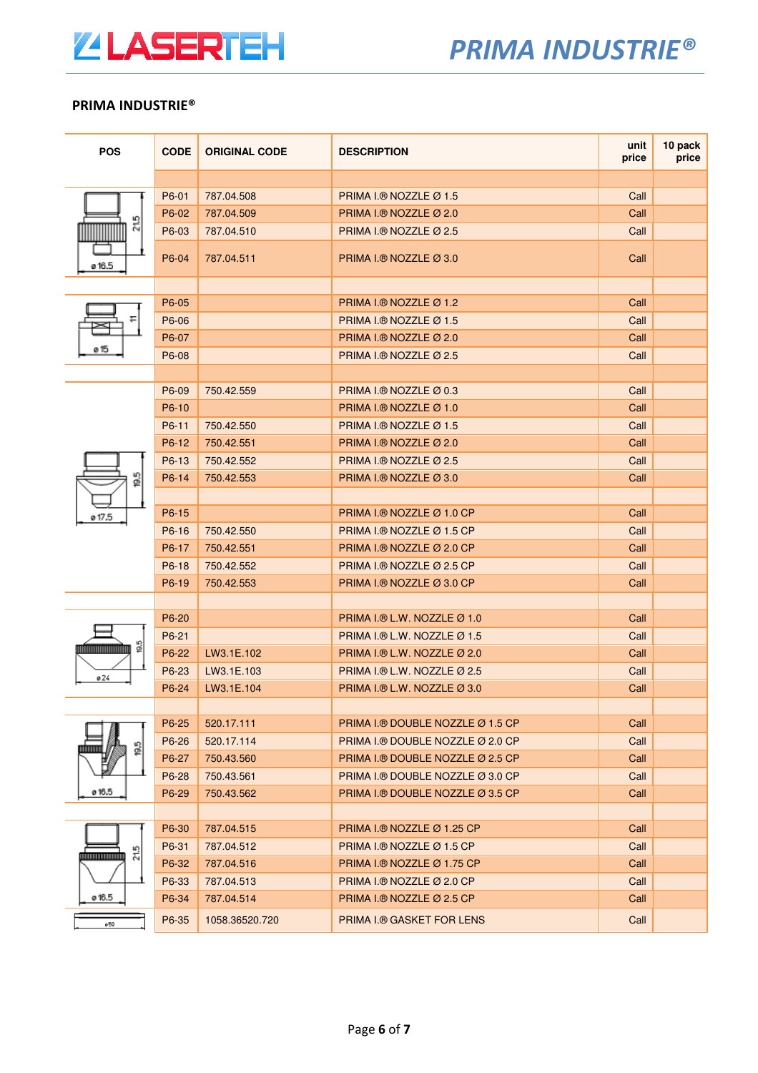

| <b>POS</b>                     | <b>CODE</b> | <b>ORIGINAL CODE</b> | <b>DESCRIPTION</b>                           | unit<br>price | 10 pack<br>price |
|--------------------------------|-------------|----------------------|----------------------------------------------|---------------|------------------|
|                                |             |                      |                                              |               |                  |
|                                | P6-01       | 787.04.508           | PRIMA I.® NOZZLE Ø 1.5                       | Call          |                  |
|                                | P6-02       | 787.04.509           | PRIMA I.® NOZZLE Ø 2.0                       | Call          |                  |
| 215<br><u> Hill</u>            | P6-03       | 787.04.510           | PRIMA I.® NOZZLE $\varnothing$ 2.5           | Call          |                  |
| ø 16.5                         | P6-04       | 787.04.511           | PRIMA I.® NOZZLE Ø 3.0                       | Call          |                  |
|                                |             |                      |                                              |               |                  |
|                                | P6-05       |                      | PRIMA I.® NOZZLE $Ø$ 1.2                     | Call          |                  |
|                                | P6-06       |                      | PRIMA I.® NOZZLE Ø 1.5                       | Call          |                  |
|                                | P6-07       |                      | PRIMA I.® NOZZLE Ø 2.0                       | Call          |                  |
| ø 15                           | P6-08       |                      | PRIMA I.® NOZZLE Ø 2.5                       | Call          |                  |
|                                |             |                      |                                              |               |                  |
|                                | P6-09       | 750.42.559           | PRIMA I.® NOZZLE $\varnothing$ 0.3           | Call          |                  |
|                                | P6-10       |                      | PRIMA I.® NOZZLE Ø 1.0                       | Call          |                  |
|                                | P6-11       | 750.42.550           | PRIMA I.® NOZZLE Ø 1.5                       | Call          |                  |
|                                | P6-12       | 750.42.551           | PRIMA I.® NOZZLE Ø 2.0                       | Call          |                  |
|                                | P6-13       | 750.42.552           | PRIMA I.® NOZZLE $\varnothing$ 2.5           | Call          |                  |
| ဒ္ဓ                            | P6-14       | 750.42.553           | PRIMA I.® NOZZLE Ø 3.0                       | Call          |                  |
|                                |             |                      |                                              |               |                  |
| ø 17.5                         | P6-15       |                      | PRIMA I.® NOZZLE Ø 1.0 CP                    | Call          |                  |
|                                | P6-16       | 750.42.550           | PRIMA I.® NOZZLE Ø 1.5 CP                    | Call          |                  |
|                                | P6-17       | 750.42.551           | PRIMA I.® NOZZLE Ø 2.0 CP                    | Call          |                  |
|                                | P6-18       | 750.42.552           | PRIMA I.® NOZZLE Ø 2.5 CP                    | Call          |                  |
|                                | P6-19       | 750.42.553           | PRIMA I.® NOZZLE Ø 3.0 CP                    | Call          |                  |
|                                |             |                      |                                              |               |                  |
|                                | P6-20       |                      | PRIMA I.® L.W. NOZZLE $Ø$ 1.0                | Call          |                  |
|                                | P6-21       |                      | PRIMA I.® L.W. NOZZLE $\varnothing$ 1.5      | Call          |                  |
| ဒ္ဓ<br>,,,,,,,,,,,,,,,,,,,,,,, | P6-22       | LW3.1E.102           | PRIMA I.® L.W. NOZZLE Ø 2.0                  | Call          |                  |
| ø24                            | P6-23       | LW3.1E.103           | PRIMA I.® L.W. NOZZLE Ø 2.5                  | Call          |                  |
|                                | P6-24       | LW3.1E.104           | PRIMA I.® L.W. NOZZLE $\varnothing$ 3.0      | Call          |                  |
|                                |             |                      |                                              |               |                  |
|                                | P6-25       | 520.17.111           | PRIMA I.® DOUBLE NOZZLE $\varnothing$ 1.5 CP | Call          |                  |
| g                              | P6-26       | 520.17.114           | PRIMA I.® DOUBLE NOZZLE Ø 2.0 CP             | Call          |                  |
|                                | P6-27       | 750.43.560           | PRIMA I.® DOUBLE NOZZLE Ø 2.5 CP             | Call          |                  |
| ø 16.5                         | P6-28       | 750.43.561           | PRIMA I.® DOUBLE NOZZLE Ø 3.0 CP             | Call          |                  |
|                                | P6-29       | 750.43.562           | PRIMA I.® DOUBLE NOZZLE Ø 3.5 CP             | Call          |                  |
|                                |             |                      |                                              |               |                  |
|                                | P6-30       | 787.04.515           | PRIMA I.® NOZZLE $\varnothing$ 1.25 CP       | Call          |                  |
| ω٥                             | P6-31       | 787.04.512           | PRIMA I.® NOZZLE Ø 1.5 CP                    | Call          |                  |
| 년<br>,,,,,,,,,,,,,,,,          | P6-32       | 787.04.516           | PRIMA I.® NOZZLE Ø 1.75 CP                   | Call          |                  |
|                                | P6-33       | 787.04.513           | PRIMA I.® NOZZLE Ø 2.0 CP                    | Call          |                  |
| ø 16.5                         | P6-34       | 787.04.514           | PRIMA I.® NOZZLE Ø 2.5 CP                    | Call          |                  |
| ø59                            | P6-35       | 1058.36520.720       | <b>PRIMA I.® GASKET FOR LENS</b>             | Call          |                  |